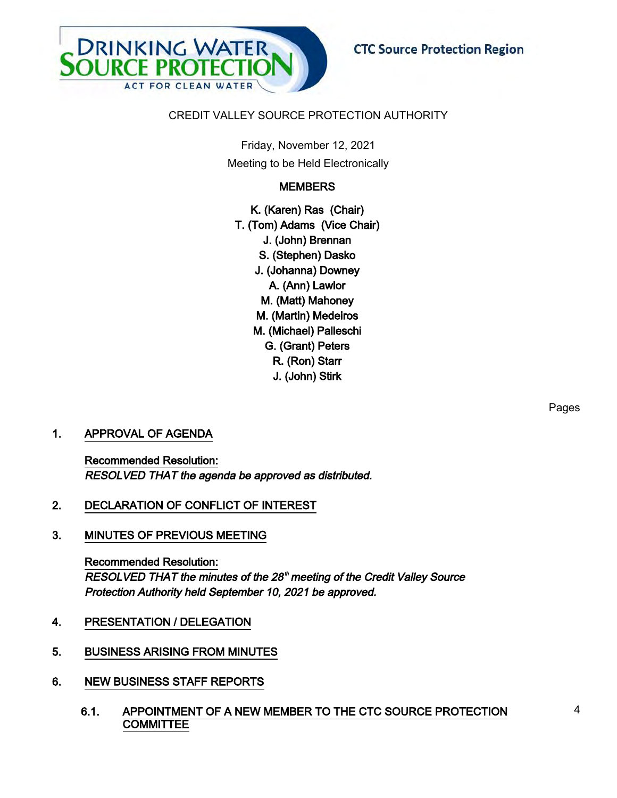

# CREDIT VALLEY SOURCE PROTECTION AUTHORITY

Friday, November 12, 2021 Meeting to be Held Electronically

# **MEMBERS**

K. (Karen) Ras (Chair) T. (Tom) Adams (Vice Chair) J. (John) Brennan S. (Stephen) Dasko J. (Johanna) Downey A. (Ann) Lawlor M. (Matt) Mahoney M. (Martin) Medeiros M. (Michael) Palleschi G. (Grant) Peters R. (Ron) Starr J. (John) Stirk

# 1. APPROVAL OF AGENDA

Recommended Resolution: RESOLVED THAT the agenda be approved as distributed.

- 2. DECLARATION OF CONFLICT OF INTEREST
- 3. MINUTES OF PREVIOUS MEETING

Recommended Resolution: RESOLVED THAT the minutes of the 28<sup>th</sup> meeting of the Credit Valley Source Protection Authority held September 10, 2021 be approved.

- 4. PRESENTATION / DELEGATION
- 5. BUSINESS ARISING FROM MINUTES
- 6. NEW BUSINESS STAFF REPORTS
	- 6.1. APPOINTMENT OF A NEW MEMBER TO THE CTC SOURCE PROTECTION **COMMITTEE**

Pages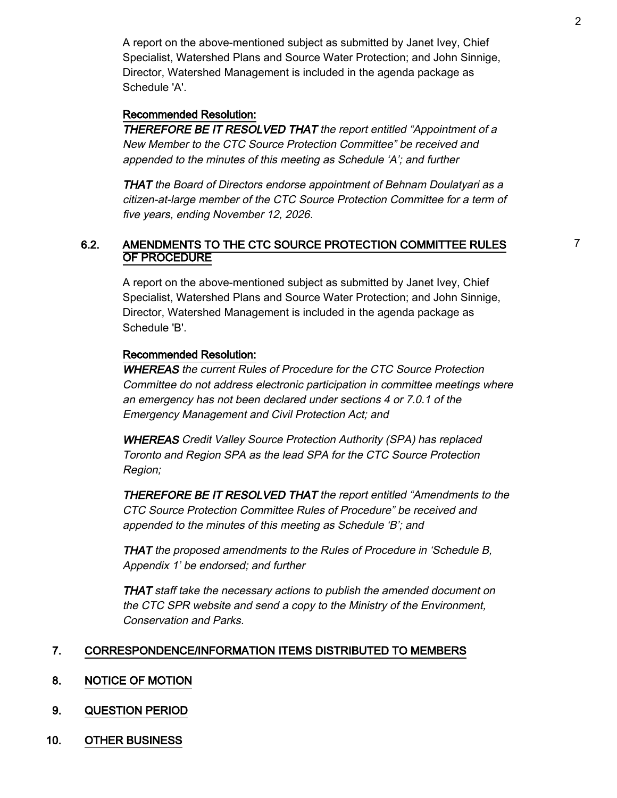A report on the above-mentioned subject as submitted by Janet Ivey, Chief Specialist, Watershed Plans and Source Water Protection; and John Sinnige, Director, Watershed Management is included in the agenda package as Schedule 'A'.

# Recommended Resolution:

THEREFORE BE IT RESOLVED THAT the report entitled "Appointment of a New Member to the CTC Source Protection Committee" be received and appended to the minutes of this meeting as Schedule 'A'; and further

THAT the Board of Directors endorse appointment of Behnam Doulatyari as a citizen-at-large member of the CTC Source Protection Committee for a term of five years, ending November 12, 2026.

# 6.2. AMENDMENTS TO THE CTC SOURCE PROTECTION COMMITTEE RULES OF PROCEDURE

A report on the above-mentioned subject as submitted by Janet Ivey, Chief Specialist, Watershed Plans and Source Water Protection; and John Sinnige, Director, Watershed Management is included in the agenda package as Schedule 'B'.

## Recommended Resolution:

WHEREAS the current Rules of Procedure for the CTC Source Protection Committee do not address electronic participation in committee meetings where an emergency has not been declared under sections 4 or 7.0.1 of the Emergency Management and Civil Protection Act; and

WHEREAS Credit Valley Source Protection Authority (SPA) has replaced Toronto and Region SPA as the lead SPA for the CTC Source Protection Region;

THEREFORE BE IT RESOLVED THAT the report entitled "Amendments to the CTC Source Protection Committee Rules of Procedure" be received and appended to the minutes of this meeting as Schedule 'B'; and

THAT the proposed amendments to the Rules of Procedure in 'Schedule B, Appendix 1' be endorsed; and further

THAT staff take the necessary actions to publish the amended document on the CTC SPR website and send a copy to the Ministry of the Environment, Conservation and Parks.

# 7. CORRESPONDENCE/INFORMATION ITEMS DISTRIBUTED TO MEMBERS

- 8. NOTICE OF MOTION
- 9. QUESTION PERIOD
- 10. OTHER BUSINESS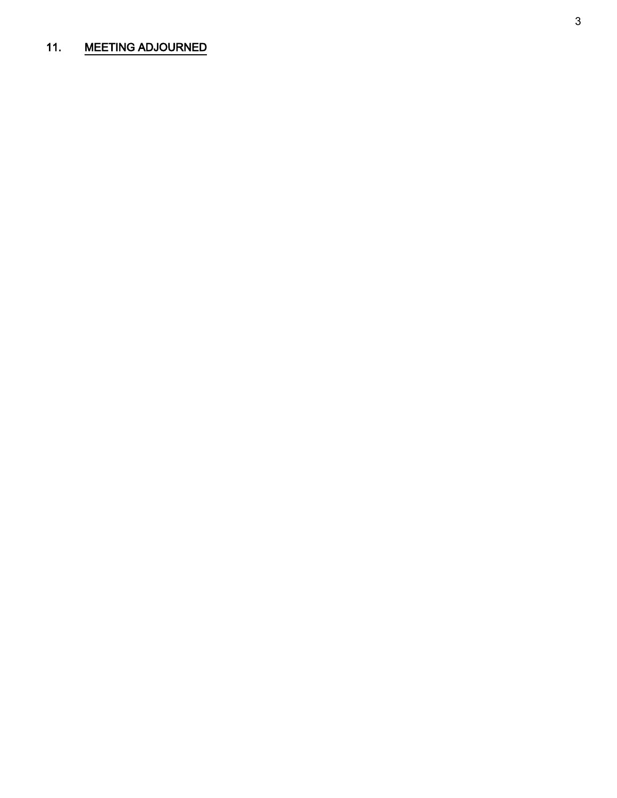# 11. MEETING ADJOURNED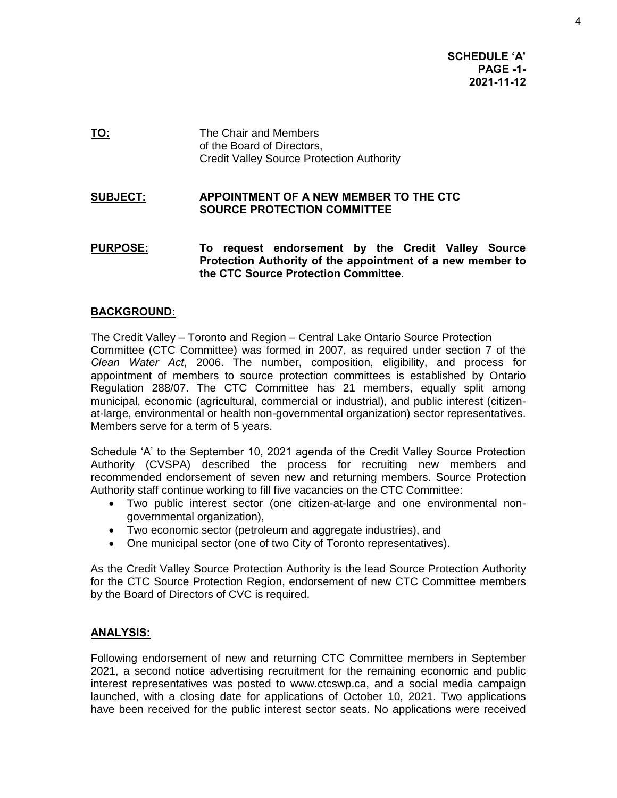**SCHEDULE 'A' PAGE -1- 2021-11-12**

**TO:** The Chair and Members of the Board of Directors, Credit Valley Source Protection Authority

## **SUBJECT: APPOINTMENT OF A NEW MEMBER TO THE CTC SOURCE PROTECTION COMMITTEE**

**PURPOSE: To request endorsement by the Credit Valley Source Protection Authority of the appointment of a new member to the CTC Source Protection Committee.** 

# **BACKGROUND:**

The Credit Valley – Toronto and Region – Central Lake Ontario Source Protection Committee (CTC Committee) was formed in 2007, as required under section 7 of the *Clean Water Act*, 2006. The number, composition, eligibility, and process for appointment of members to source protection committees is established by Ontario Regulation 288/07. The CTC Committee has 21 members, equally split among municipal, economic (agricultural, commercial or industrial), and public interest (citizenat-large, environmental or health non-governmental organization) sector representatives. Members serve for a term of 5 years.

Schedule 'A' to the September 10, 2021 agenda of the Credit Valley Source Protection Authority (CVSPA) described the process for recruiting new members and recommended endorsement of seven new and returning members. Source Protection Authority staff continue working to fill five vacancies on the CTC Committee:

- Two public interest sector (one citizen-at-large and one environmental nongovernmental organization),
- Two economic sector (petroleum and aggregate industries), and
- One municipal sector (one of two City of Toronto representatives).

As the Credit Valley Source Protection Authority is the lead Source Protection Authority for the CTC Source Protection Region, endorsement of new CTC Committee members by the Board of Directors of CVC is required.

#### **ANALYSIS:**

Following endorsement of new and returning CTC Committee members in September 2021, a second notice advertising recruitment for the remaining economic and public interest representatives was posted to www.ctcswp.ca, and a social media campaign launched, with a closing date for applications of October 10, 2021. Two applications have been received for the public interest sector seats. No applications were received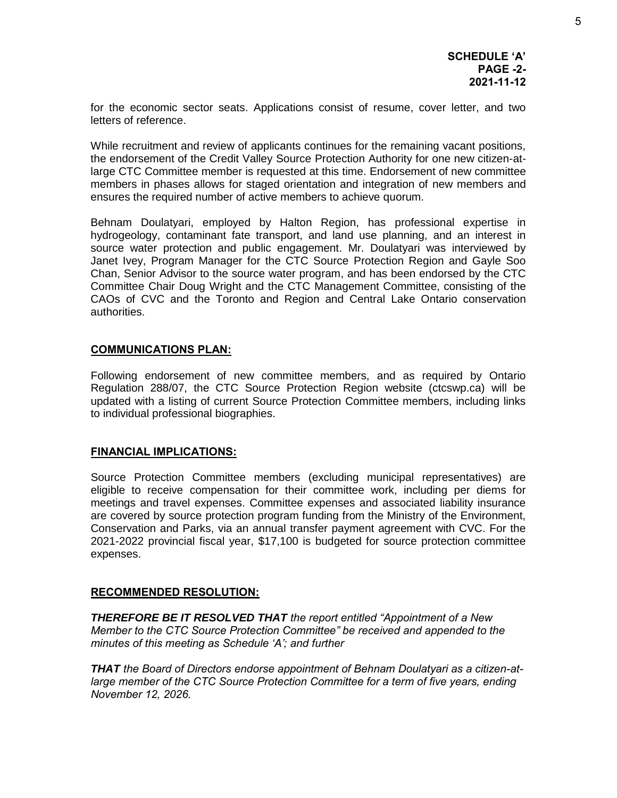for the economic sector seats. Applications consist of resume, cover letter, and two letters of reference.

While recruitment and review of applicants continues for the remaining vacant positions, the endorsement of the Credit Valley Source Protection Authority for one new citizen-atlarge CTC Committee member is requested at this time. Endorsement of new committee members in phases allows for staged orientation and integration of new members and ensures the required number of active members to achieve quorum.

Behnam Doulatyari, employed by Halton Region, has professional expertise in hydrogeology, contaminant fate transport, and land use planning, and an interest in source water protection and public engagement. Mr. Doulatyari was interviewed by Janet Ivey, Program Manager for the CTC Source Protection Region and Gayle Soo Chan, Senior Advisor to the source water program, and has been endorsed by the CTC Committee Chair Doug Wright and the CTC Management Committee, consisting of the CAOs of CVC and the Toronto and Region and Central Lake Ontario conservation authorities.

#### **COMMUNICATIONS PLAN:**

Following endorsement of new committee members, and as required by Ontario Regulation 288/07, the CTC Source Protection Region website (ctcswp.ca) will be updated with a listing of current Source Protection Committee members, including links to individual professional biographies.

#### **FINANCIAL IMPLICATIONS:**

Source Protection Committee members (excluding municipal representatives) are eligible to receive compensation for their committee work, including per diems for meetings and travel expenses. Committee expenses and associated liability insurance are covered by source protection program funding from the Ministry of the Environment, Conservation and Parks, via an annual transfer payment agreement with CVC. For the 2021-2022 provincial fiscal year, \$17,100 is budgeted for source protection committee expenses.

#### **RECOMMENDED RESOLUTION:**

*THEREFORE BE IT RESOLVED THAT the report entitled "Appointment of a New Member to the CTC Source Protection Committee" be received and appended to the minutes of this meeting as Schedule 'A'; and further* 

*THAT the Board of Directors endorse appointment of Behnam Doulatyari as a citizen-atlarge member of the CTC Source Protection Committee for a term of five years, ending November 12, 2026.*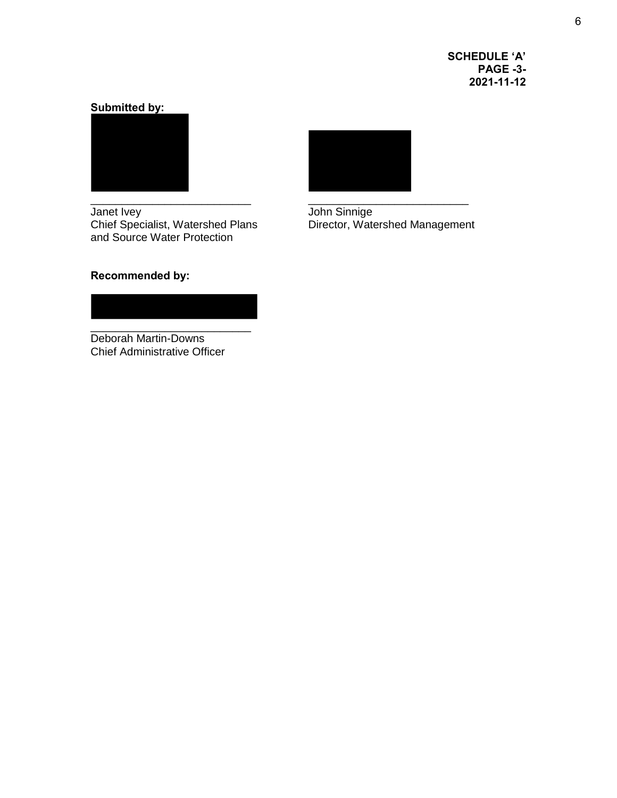**SCHEDULE 'A' PAGE -3- 2021-11-12**

# **Submitted by:**



Janet Ivey John Sinnige and Source Water Protection



John Sinnige<br>Director, Watershed Management

# **Recommended by:**



Deborah Martin-Downs Chief Administrative Officer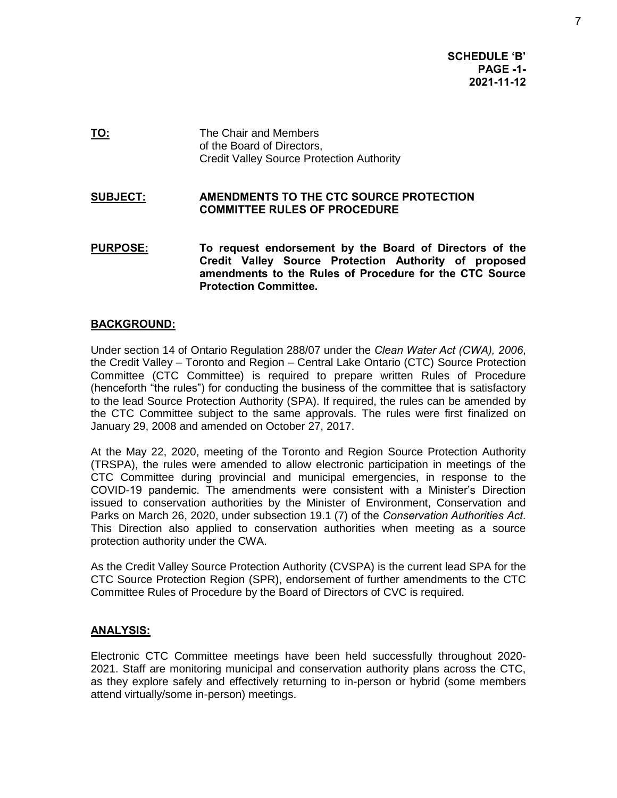**SCHEDULE 'B' PAGE -1- 2021-11-12**

**TO:** The Chair and Members of the Board of Directors, Credit Valley Source Protection Authority

## **SUBJECT: AMENDMENTS TO THE CTC SOURCE PROTECTION COMMITTEE RULES OF PROCEDURE**

**PURPOSE: To request endorsement by the Board of Directors of the Credit Valley Source Protection Authority of proposed amendments to the Rules of Procedure for the CTC Source Protection Committee.** 

# **BACKGROUND:**

Under section 14 of Ontario Regulation 288/07 under the *Clean Water Act (CWA), 2006*, the Credit Valley – Toronto and Region – Central Lake Ontario (CTC) Source Protection Committee (CTC Committee) is required to prepare written Rules of Procedure (henceforth "the rules") for conducting the business of the committee that is satisfactory to the lead Source Protection Authority (SPA). If required, the rules can be amended by the CTC Committee subject to the same approvals. The rules were first finalized on January 29, 2008 and amended on October 27, 2017.

At the May 22, 2020, meeting of the Toronto and Region Source Protection Authority (TRSPA), the rules were amended to allow electronic participation in meetings of the CTC Committee during provincial and municipal emergencies, in response to the COVID-19 pandemic. The amendments were consistent with a Minister's Direction issued to conservation authorities by the Minister of Environment, Conservation and Parks on March 26, 2020, under subsection 19.1 (7) of the *Conservation Authorities Act*. This Direction also applied to conservation authorities when meeting as a source protection authority under the CWA.

As the Credit Valley Source Protection Authority (CVSPA) is the current lead SPA for the CTC Source Protection Region (SPR), endorsement of further amendments to the CTC Committee Rules of Procedure by the Board of Directors of CVC is required.

#### **ANALYSIS:**

Electronic CTC Committee meetings have been held successfully throughout 2020- 2021. Staff are monitoring municipal and conservation authority plans across the CTC, as they explore safely and effectively returning to in-person or hybrid (some members attend virtually/some in-person) meetings.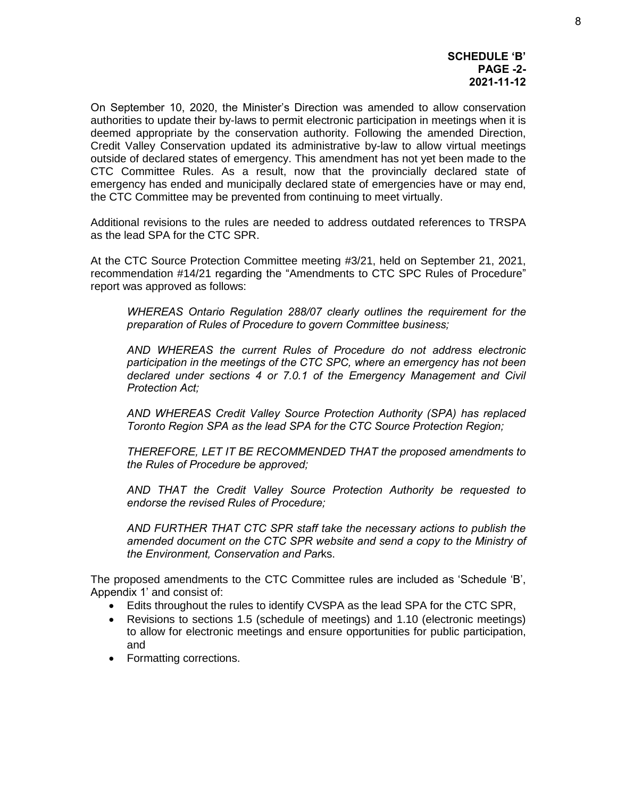#### **SCHEDULE 'B' PAGE -2- 2021-11-12**

On September 10, 2020, the Minister's Direction was amended to allow conservation authorities to update their by-laws to permit electronic participation in meetings when it is deemed appropriate by the conservation authority. Following the amended Direction, Credit Valley Conservation updated its administrative by-law to allow virtual meetings outside of declared states of emergency. This amendment has not yet been made to the CTC Committee Rules. As a result, now that the provincially declared state of emergency has ended and municipally declared state of emergencies have or may end, the CTC Committee may be prevented from continuing to meet virtually.

Additional revisions to the rules are needed to address outdated references to TRSPA as the lead SPA for the CTC SPR.

At the CTC Source Protection Committee meeting #3/21, held on September 21, 2021, recommendation #14/21 regarding the "Amendments to CTC SPC Rules of Procedure" report was approved as follows:

*WHEREAS Ontario Regulation 288/07 clearly outlines the requirement for the preparation of Rules of Procedure to govern Committee business;* 

*AND WHEREAS the current Rules of Procedure do not address electronic participation in the meetings of the CTC SPC, where an emergency has not been declared under sections 4 or 7.0.1 of the Emergency Management and Civil Protection Act;* 

*AND WHEREAS Credit Valley Source Protection Authority (SPA) has replaced Toronto Region SPA as the lead SPA for the CTC Source Protection Region;* 

*THEREFORE, LET IT BE RECOMMENDED THAT the proposed amendments to the Rules of Procedure be approved;* 

*AND THAT the Credit Valley Source Protection Authority be requested to endorse the revised Rules of Procedure;* 

*AND FURTHER THAT CTC SPR staff take the necessary actions to publish the*  amended document on the CTC SPR website and send a copy to the Ministry of *the Environment, Conservation and Par*ks.

The proposed amendments to the CTC Committee rules are included as 'Schedule 'B', Appendix 1' and consist of:

- Edits throughout the rules to identify CVSPA as the lead SPA for the CTC SPR,
- Revisions to sections 1.5 (schedule of meetings) and 1.10 (electronic meetings) to allow for electronic meetings and ensure opportunities for public participation, and
- Formatting corrections.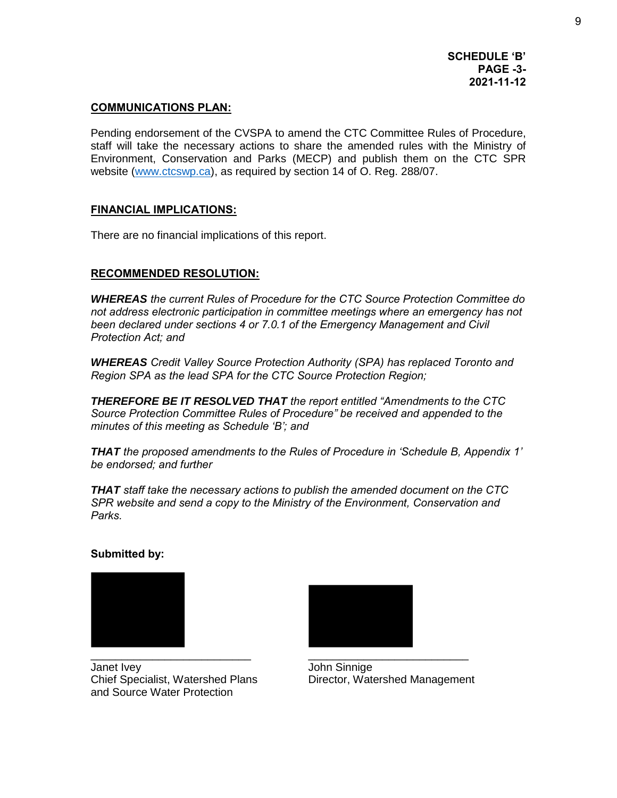# **COMMUNICATIONS PLAN:**

Pending endorsement of the CVSPA to amend the CTC Committee Rules of Procedure, staff will take the necessary actions to share the amended rules with the Ministry of Environment, Conservation and Parks (MECP) and publish them on the CTC SPR website [\(www.ctcswp.ca\)](http://www.ctcswp.ca/), as required by section 14 of O. Reg. 288/07.

# **FINANCIAL IMPLICATIONS:**

There are no financial implications of this report.

# **RECOMMENDED RESOLUTION:**

*WHEREAS the current Rules of Procedure for the CTC Source Protection Committee do not address electronic participation in committee meetings where an emergency has not been declared under sections 4 or 7.0.1 of the Emergency Management and Civil Protection Act; and*

*WHEREAS Credit Valley Source Protection Authority (SPA) has replaced Toronto and Region SPA as the lead SPA for the CTC Source Protection Region;*

*THEREFORE BE IT RESOLVED THAT the report entitled "Amendments to the CTC Source Protection Committee Rules of Procedure" be received and appended to the minutes of this meeting as Schedule 'B'; and* 

*THAT the proposed amendments to the Rules of Procedure in 'Schedule B, Appendix 1' be endorsed; and further*

*THAT staff take the necessary actions to publish the amended document on the CTC SPR website and send a copy to the Ministry of the Environment, Conservation and Parks.*

# **Submitted by:**



Janet Ivey John Sinnige Chief Specialist, Watershed Plans Director, Watershed Management and Source Water Protection

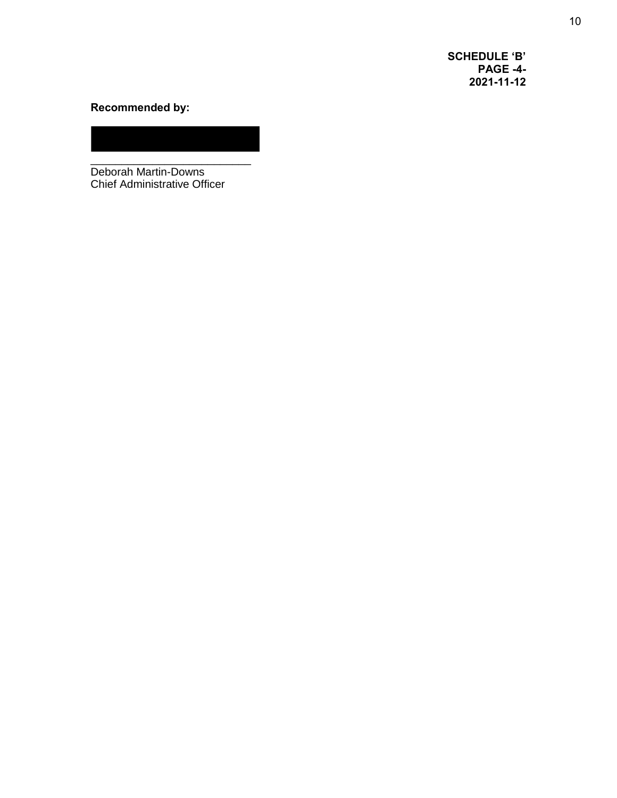**SCHEDULE 'B' PAGE -4- 2021-11-12**

# **Recommended by:**

\_\_\_\_\_\_\_\_\_\_\_\_\_\_\_\_\_\_\_\_\_\_\_\_\_\_ Deborah Martin-Downs Chief Administrative Officer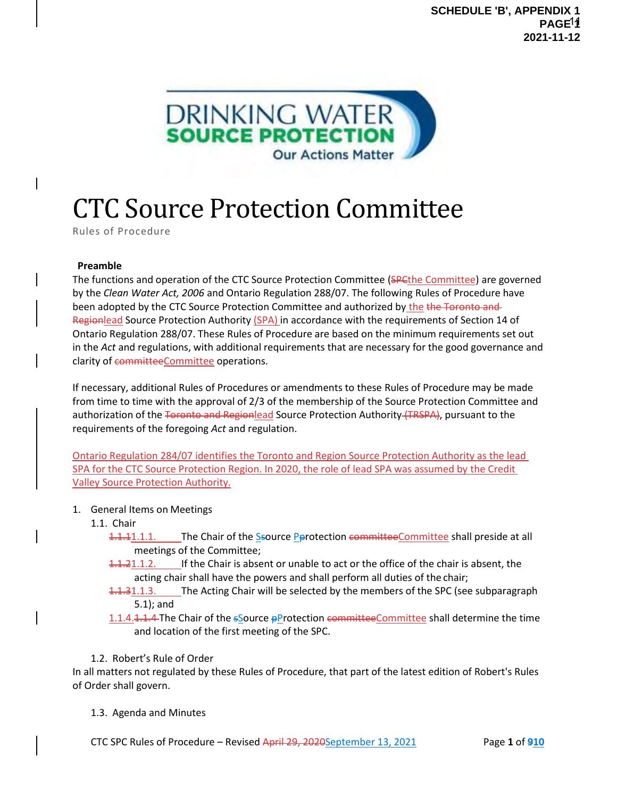

# CTC Source Protection Committee

Rules of Procedure

#### **Preamble**

The functions and operation of the CTC Source Protection Committee (SPCthe Committee) are governed by the *Clean Water Act, 2006* and Ontario Regulation 288/07. The following Rules of Procedure have been adopted by the CTC Source Protection Committee and authorized by the the Toronto and Regionlead Source Protection Authority (SPA) in accordance with the requirements of Section 14 of Ontario Regulation 288/07. These Rules of Procedure are based on the minimum requirements set out in the *Act* and regulations, with additional requirements that are necessary for the good governance and clarity of committeeCommittee operations.

If necessary, additional Rules of Procedures or amendments to these Rules of Procedure may be made from time to time with the approval of 2/3 of the membership of the Source Protection Committee and authorization of the Toronto and Regionlead Source Protection Authority (TRSPA), pursuant to the requirements of the foregoing *Act* and regulation.

Ontario Regulation 284/07 identifies the Toronto and Region Source Protection Authority as the lead SPA for the CTC Source Protection Region. In 2020, the role of lead SPA was assumed by the Credit Valley Source Protection Authority.

- 1. General Items on Meetings
	- 1.1. Chair
		- 1.1.1.1.1.1. The Chair of the Ssource Perotection committeeCommittee shall preside at all meetings of the Committee;
		- 1.1.21.1.2. If the Chair is absent or unable to act or the office of the chair is absent, the acting chair shall have the powers and shall perform all duties of the chair;
		- **1.1.31.1.3.** The Acting Chair will be selected by the members of the SPC (see subparagraph 5.1); and
		- 1.1.4.1.1.4 The Chair of the  $s$ Source pProtection committeeCommittee shall determine the time and location of the first meeting of the SPC.
	- 1.2. Robert's Rule of Order

In all matters not regulated by these Rules of Procedure, that part of the latest edition of Robert's Rules of Order shall govern.

1.3. Agenda and Minutes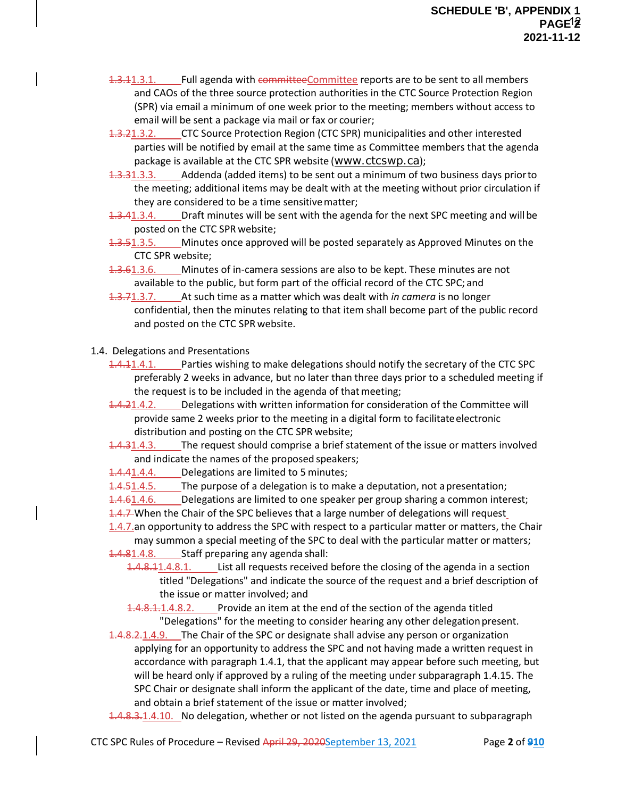- 1.3.11.3.1. Full agenda with committeeCommittee reports are to be sent to all members and CAOs of the three source protection authorities in the CTC Source Protection Region (SPR) via email a minimum of one week prior to the meeting; members without access to email will be sent a package via mail or fax or courier;
- 1.3.21.3.2. CTC Source Protection Region (CTC SPR) municipalities and other interested parties will be notified by email at the same time as Committee members that the agenda package is available at the CTC SPR website ([www.ctcswp.ca](http://www.ctcswp.ca/));
- 1.3.31.3.3. Addenda (added items) to be sent out a minimum of two business days priorto the meeting; additional items may be dealt with at the meeting without prior circulation if they are considered to be a time sensitivematter;
- 1.3.41.3.4. Draft minutes will be sent with the agenda for the next SPC meeting and will be posted on the CTC SPR website;
- 1.3.51.3.5. Minutes once approved will be posted separately as Approved Minutes on the CTC SPR website;
- 4.3.61.3.6. Minutes of in-camera sessions are also to be kept. These minutes are not available to the public, but form part of the official record of the CTC SPC; and
- 1.3.71.3.7. At such time as a matter which was dealt with *in camera* is no longer confidential, then the minutes relating to that item shall become part of the public record and posted on the CTC SPR website.
- 1.4. Delegations and Presentations
	- 1.4.11.4.1. Parties wishing to make delegations should notify the secretary of the CTC SPC preferably 2 weeks in advance, but no later than three days prior to a scheduled meeting if the request is to be included in the agenda of that meeting;
	- 1.4.21.4.2. Delegations with written information for consideration of the Committee will provide same 2 weeks prior to the meeting in a digital form to facilitateelectronic distribution and posting on the CTC SPR website;
	- 1.4.31.4.3. The request should comprise a brief statement of the issue or matters involved and indicate the names of the proposed speakers;

1.4.41.4.4. Delegations are limited to 5 minutes;

1.4.51.4.5. The purpose of a delegation is to make a deputation, not apresentation;

1.4.61.4.6. Delegations are limited to one speaker per group sharing a common interest;

1.4.7 When the Chair of the SPC believes that a large number of delegations will request

1.4.7.an opportunity to address the SPC with respect to a particular matter or matters, the Chair may summon a special meeting of the SPC to deal with the particular matter or matters;

- 1.4.81.4.8. Staff preparing any agenda shall:
	- 1.4.8.11.4.8.1. List all requests received before the closing of the agenda in a section titled "Delegations" and indicate the source of the request and a brief description of the issue or matter involved; and

1.4.8.1.1.4.8.2. Provide an item at the end of the section of the agenda titled "Delegations" for the meeting to consider hearing any other delegation present.

- 1.4.8.2.1.4.9. The Chair of the SPC or designate shall advise any person or organization applying for an opportunity to address the SPC and not having made a written request in accordance with paragraph 1.4.1, that the applicant may appear before such meeting, but will be heard only if approved by a ruling of the meeting under subparagraph 1.4.15. The SPC Chair or designate shall inform the applicant of the date, time and place of meeting, and obtain a brief statement of the issue or matter involved;
- 1.4.8.3.1.4.10. No delegation, whether or not listed on the agenda pursuant to subparagraph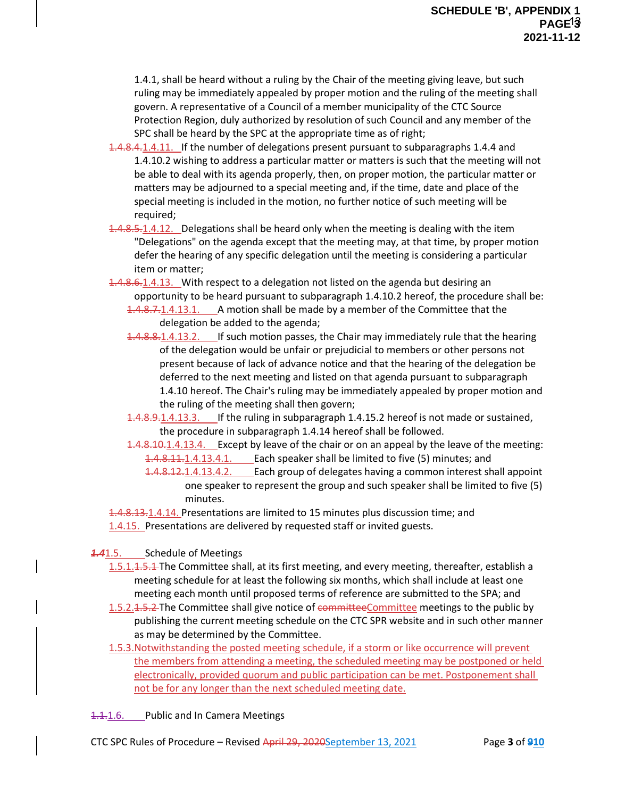1.4.1, shall be heard without a ruling by the Chair of the meeting giving leave, but such ruling may be immediately appealed by proper motion and the ruling of the meeting shall govern. A representative of a Council of a member municipality of the CTC Source Protection Region, duly authorized by resolution of such Council and any member of the SPC shall be heard by the SPC at the appropriate time as of right;

- 1.4.8.4.1.4.11. If the number of delegations present pursuant to subparagraphs 1.4.4 and 1.4.10.2 wishing to address a particular matter or matters is such that the meeting will not be able to deal with its agenda properly, then, on proper motion, the particular matter or matters may be adjourned to a special meeting and, if the time, date and place of the special meeting is included in the motion, no further notice of such meeting will be required;
- 1.4.8.5.1.4.12. Delegations shall be heard only when the meeting is dealing with the item "Delegations" on the agenda except that the meeting may, at that time, by proper motion defer the hearing of any specific delegation until the meeting is considering a particular item or matter;
- 1.4.8.6.1.4.13. With respect to a delegation not listed on the agenda but desiring an opportunity to be heard pursuant to subparagraph 1.4.10.2 hereof, the procedure shall be: 1.4.8.7.1.4.13.1. A motion shall be made by a member of the Committee that the delegation be added to the agenda;
	- 1.4.8.8.1.4.13.2. If such motion passes, the Chair may immediately rule that the hearing of the delegation would be unfair or prejudicial to members or other persons not present because of lack of advance notice and that the hearing of the delegation be deferred to the next meeting and listed on that agenda pursuant to subparagraph 1.4.10 hereof. The Chair's ruling may be immediately appealed by proper motion and the ruling of the meeting shall then govern;
	- 1.4.8.9.1.4.13.3. If the ruling in subparagraph 1.4.15.2 hereof is not made or sustained, the procedure in subparagraph 1.4.14 hereof shall be followed.
	- 1.4.8.10.1.4.13.4. Except by leave of the chair or on an appeal by the leave of the meeting: 1.4.8.11.1.4.13.4.1. Each speaker shall be limited to five (5) minutes; and
		- 1.4.8.12.1.4.13.4.2. Each group of delegates having a common interest shall appoint one speaker to represent the group and such speaker shall be limited to five (5) minutes.

1.4.8.13.1.4.14. Presentations are limited to 15 minutes plus discussion time; and 1.4.15. Presentations are delivered by requested staff or invited guests.

# *1.4*1.5. Schedule of Meetings

- 1.5.1.1.5.1 The Committee shall, at its first meeting, and every meeting, thereafter, establish a meeting schedule for at least the following six months, which shall include at least one meeting each month until proposed terms of reference are submitted to the SPA; and
- 1.5.2.1.5.2. The Committee shall give notice of committeeCommittee meetings to the public by publishing the current meeting schedule on the CTC SPR website and in such other manner as may be determined by the Committee.
- 1.5.3.Notwithstanding the posted meeting schedule, if a storm or like occurrence will prevent the members from attending a meeting, the scheduled meeting may be postponed or held electronically, provided quorum and public participation can be met. Postponement shall not be for any longer than the next scheduled meeting date.
- 1.1.1.6. Public and In Camera Meetings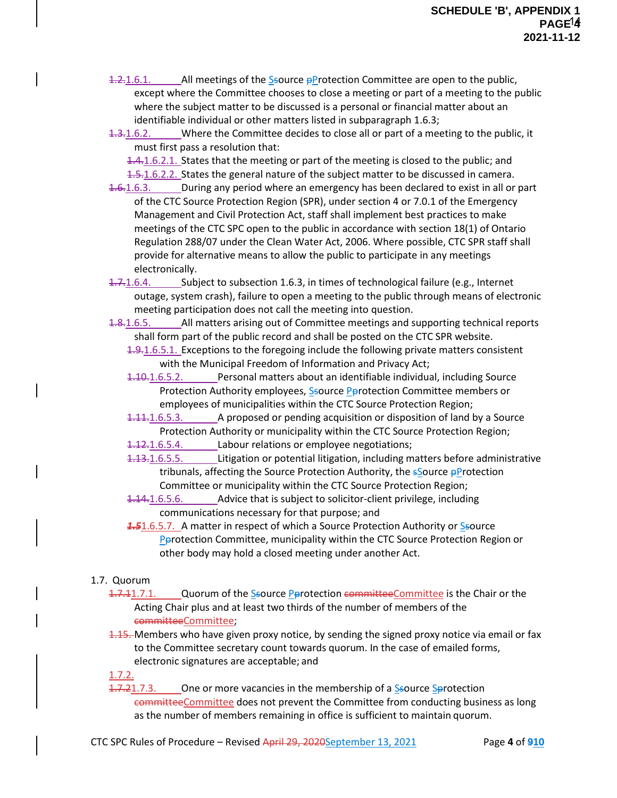$1.2$ , 1.6.1. All meetings of the Ssource pProtection Committee are open to the public, except where the Committee chooses to close a meeting or part of a meeting to the public where the subject matter to be discussed is a personal or financial matter about an identifiable individual or other matters listed in subparagraph 1.6.3;

1.3.1.6.2. Where the Committee decides to close all or part of a meeting to the public, it must first pass a resolution that:

4.4.1.6.2.1. States that the meeting or part of the meeting is closed to the public; and

1.5.1.6.2.2. States the general nature of the subject matter to be discussed in camera.

- 1.6.1.6.3. During any period where an emergency has been declared to exist in all or part of the CTC Source Protection Region (SPR), under section 4 or 7.0.1 of the Emergency Management and Civil Protection Act, staff shall implement best practices to make meetings of the CTC SPC open to the public in accordance with section 18(1) of Ontario Regulation 288/07 under the Clean Water Act, 2006. Where possible, CTC SPR staff shall provide for alternative means to allow the public to participate in any meetings electronically.
- 1.7.1.6.4. Subject to subsection 1.6.3, in times of technological failure (e.g., Internet outage, system crash), failure to open a meeting to the public through means of electronic meeting participation does not call the meeting into question.
- 1.8.1.6.5. All matters arising out of Committee meetings and supporting technical reports shall form part of the public record and shall be posted on the CTC SPR website.

1.9.1.6.5.1. Exceptions to the foregoing include the following private matters consistent with the Municipal Freedom of Information and Privacy Act;

- 1.10.1.6.5.2. Personal matters about an identifiable individual, including Source Protection Authority employees, Ssource Parotection Committee members or employees of municipalities within the CTC Source Protection Region;
- 1.11.1.6.5.3. A proposed or pending acquisition or disposition of land by a Source Protection Authority or municipality within the CTC Source Protection Region;

1.12.1.6.5.4. Labour relations or employee negotiations;

1.13.1.6.5.5. Litigation or potential litigation, including matters before administrative tribunals, affecting the Source Protection Authority, the *sSource pProtection* Committee or municipality within the CTC Source Protection Region;

1.14.1.6.5.6. Advice that is subject to solicitor-client privilege, including communications necessary for that purpose; and

**1.5**1.6.5.7. A matter in respect of which a Source Protection Authority or Ssource **Parotection Committee, municipality within the CTC Source Protection Region or** other body may hold a closed meeting under another Act.

# 1.7. Quorum

- 1.7.11.7.1. Quorum of the Ssource Pprotection committeeCommittee is the Chair or the Acting Chair plus and at least two thirds of the number of members of the committeeCommittee;
- 1.15. Members who have given proxy notice, by sending the signed proxy notice via email or fax to the Committee secretary count towards quorum. In the case of emailed forms, electronic signatures are acceptable; and

1.7.2.

1.7.21.7.3. One or more vacancies in the membership of a Ssource Sprotection committeeCommittee does not prevent the Committee from conducting business as long as the number of members remaining in office is sufficient to maintain quorum.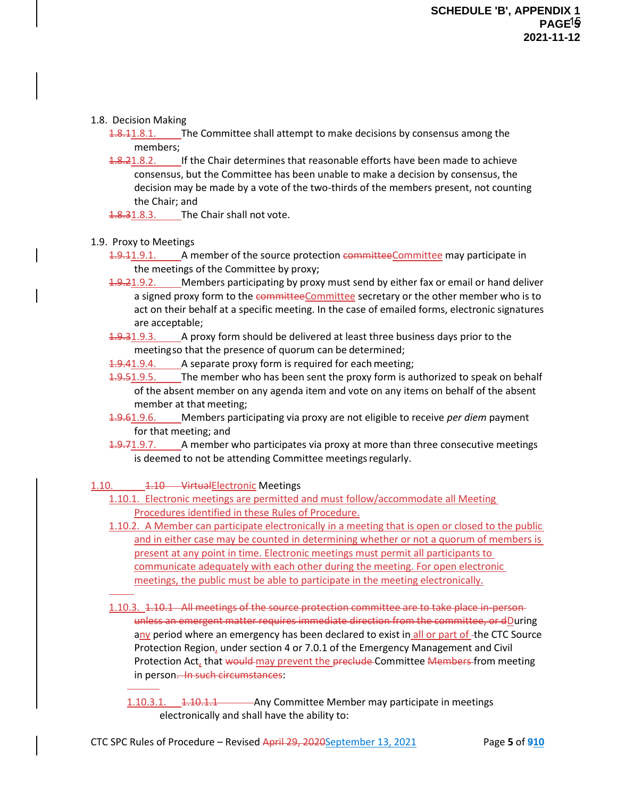#### 1.8. Decision Making

1.8.1.11.8.1. The Committee shall attempt to make decisions by consensus among the members;

- 1.8.21.8.2. If the Chair determines that reasonable efforts have been made to achieve consensus, but the Committee has been unable to make a decision by consensus, the decision may be made by a vote of the two-thirds of the members present, not counting the Chair; and
- 1.8.31.8.3. The Chair shall not vote.
- 1.9. Proxy to Meetings
	- 1.9.11.9.1. A member of the source protection committeeCommittee may participate in the meetings of the Committee by proxy;
	- 1.9.21.9.2. Members participating by proxy must send by either fax or email or hand deliver a signed proxy form to the committeeCommittee secretary or the other member who is to act on their behalf at a specific meeting. In the case of emailed forms, electronic signatures are acceptable;
	- 1.9.31.9.3. A proxy form should be delivered at least three business days prior to the meetingso that the presence of quorum can be determined;
	- 1.9.41.9.4. A separate proxy form is required for each meeting;
	- 4.9.51.9.5. The member who has been sent the proxy form is authorized to speak on behalf of the absent member on any agenda item and vote on any items on behalf of the absent member at that meeting;
	- 1.9.61.9.6. Members participating via proxy are not eligible to receive *per diem* payment for that meeting; and
	- $1.9.71.9.7.$  A member who participates via proxy at more than three consecutive meetings is deemed to not be attending Committee meetings regularly.
- 1.10. 1.10 Virtual Electronic Meetings
	- 1.10.1. Electronic meetings are permitted and must follow/accommodate all Meeting Procedures identified in these Rules of Procedure.
	- 1.10.2. A Member can participate electronically in a meeting that is open or closed to the public and in either case may be counted in determining whether or not a quorum of members is present at any point in time. Electronic meetings must permit all participants to communicate adequately with each other during the meeting. For open electronic meetings, the public must be able to participate in the meeting electronically.
	- 1.10.3. 1.10.1 All meetings of the source protection committee are to take place in-personunless an emergent matter requires immediate direction from the committee, or dDuring any period where an emergency has been declared to exist in all or part of -the CTC Source Protection Region, under section 4 or 7.0.1 of the Emergency Management and Civil Protection Act, that would may prevent the preclude Committee Members from meeting in person. In such circumstances:
		- 1.10.3.1. 1.10.1.1 Any Committee Member may participate in meetings electronically and shall have the ability to: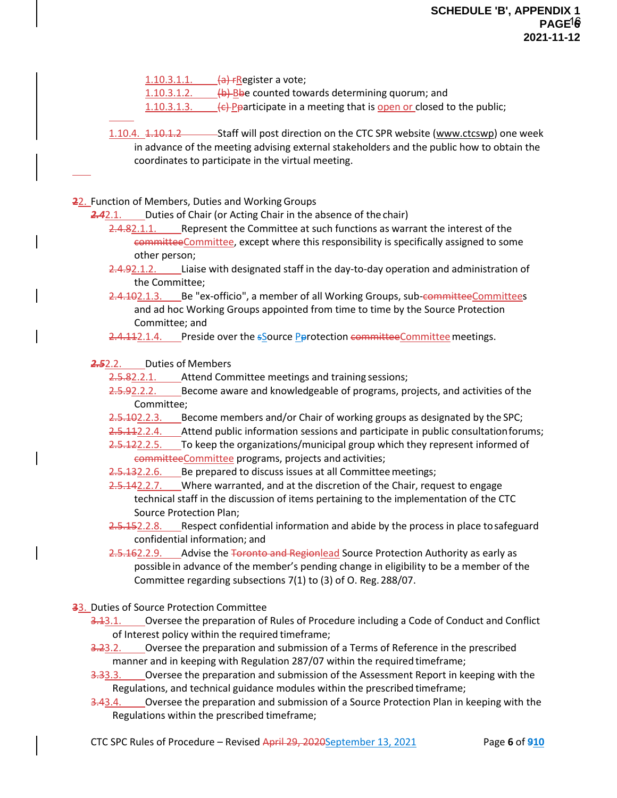$1.10.3.1.1.$   $(a)$   $r$ Register a vote;

1.10.3.1.2.  $\left\langle \frac{b}{b} \right\rangle$  Bbe counted towards determining quorum; and

1.10.3.1.3.  $\left\{\left.\left\|\right.\right\|$  Pparticipate in a meeting that is open or closed to the public;

1.10.4. 1.10.1.2 Staff will post direction on the CTC SPR website [\(www.ctcswp\)](http://www.ctcswp/) one week in advance of the meeting advising external stakeholders and the public how to obtain the coordinates to participate in the virtual meeting.

**22. Function of Members, Duties and Working Groups** 

2.42.1. Duties of Chair (or Acting Chair in the absence of the chair)

- 2.4.82.1.1. Represent the Committee at such functions as warrant the interest of the committeeCommittee, except where this responsibility is specifically assigned to some other person;
- 2.4.92.1.2. Liaise with designated staff in the day-to-day operation and administration of the Committee;
- 2.4.102.1.3. Be "ex-officio", a member of all Working Groups, sub-committeeCommittees and ad hoc Working Groups appointed from time to time by the Source Protection Committee; and
- 2.4.112.1.4. Preside over the sSource Parotection committeeCommittee meetings.

*2.5*2.2. Duties of Members

2.5.82.2.1. Attend Committee meetings and training sessions;

- 2.5.92.2.2. Become aware and knowledgeable of programs, projects, and activities of the Committee;
- 2.5.102.2.3. Become members and/or Chair of working groups as designated by the SPC;
- 2.5.112.2.4. Attend public information sessions and participate in public consultation forums;
- 2.5.122.2.5. To keep the organizations/municipal group which they represent informed of committeeCommittee programs, projects and activities;
- 2.5.132.2.6. Be prepared to discuss issues at all Committee meetings;
- 2.5.142.2.7. Where warranted, and at the discretion of the Chair, request to engage technical staff in the discussion of items pertaining to the implementation of the CTC Source Protection Plan;
- 2.5.152.2.8. Respect confidential information and abide by the process in place to safeguard confidential information; and
- 2.5.162.2.9. Advise the Toronto and Regionlead Source Protection Authority as early as possiblein advance of the member's pending change in eligibility to be a member of the Committee regarding subsections 7(1) to (3) of O. Reg. 288/07.
- **3**3. Duties of Source Protection Committee

3.13.1. Oversee the preparation of Rules of Procedure including a Code of Conduct and Conflict of Interest policy within the required timeframe;

- 3.23.2. Oversee the preparation and submission of a Terms of Reference in the prescribed manner and in keeping with Regulation 287/07 within the requiredtimeframe;
- 3.33.3. Coversee the preparation and submission of the Assessment Report in keeping with the Regulations, and technical guidance modules within the prescribed timeframe;
- 3.43.4. Cversee the preparation and submission of a Source Protection Plan in keeping with the Regulations within the prescribed timeframe;

CTC SPC Rules of Procedure – Revised April 29, 2020September 13, 2021 Page **6** of **910**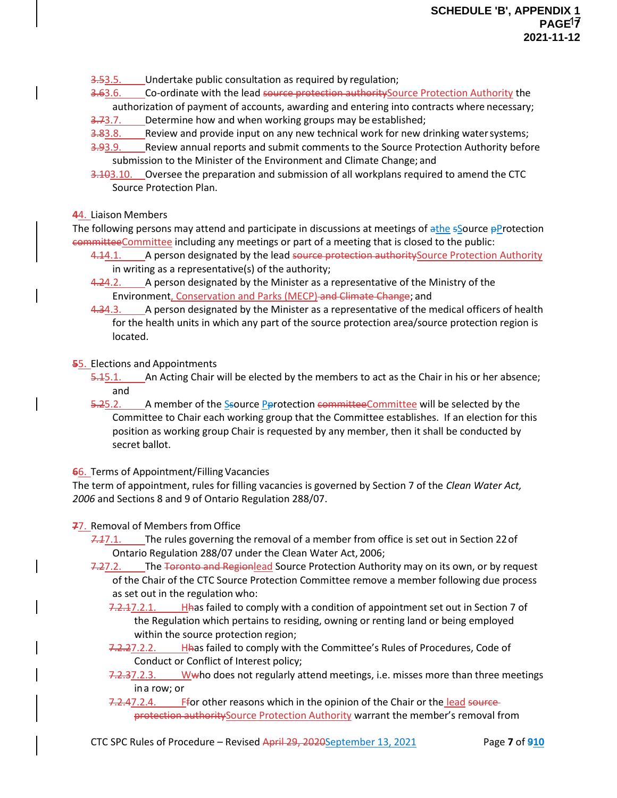3.53.5. Undertake public consultation as required by regulation;

3.63.6. Co-ordinate with the lead source protection authority Source Protection Authority the

authorization of payment of accounts, awarding and entering into contracts where necessary;

- 3.73.7. Determine how and when working groups may be established;
- 3.83.8. Review and provide input on any new technical work for new drinking water systems;
- 3.93.9. Review annual reports and submit comments to the Source Protection Authority before submission to the Minister of the Environment and Climate Change; and
- 3.103.10. Oversee the preparation and submission of all workplans required to amend the CTC Source Protection Plan.

#### **4**4. Liaison Members

The following persons may attend and participate in discussions at meetings of  $\frac{1}{2}$ the  $\frac{1}{2}$ Source  $\frac{1}{2}$ Protection committeeCommittee including any meetings or part of a meeting that is closed to the public:

- 4.14.1. A person designated by the lead source protection authority Source Protection Authority in writing as a representative(s) of the authority;
- 4.24.2. A person designated by the Minister as a representative of the Ministry of the Environment, Conservation and Parks (MECP) and Climate Change; and
- 4.34.3. A person designated by the Minister as a representative of the medical officers of health for the health units in which any part of the source protection area/source protection region is located.

#### **5**5. Elections and Appointments

- 5.15.1. An Acting Chair will be elected by the members to act as the Chair in his or her absence; and
- 5.25.2. A member of the Ssource **Perotection** committee Committee will be selected by the Committee to Chair each working group that the Committee establishes. If an election for this position as working group Chair is requested by any member, then it shall be conducted by secret ballot.

**6**6. Terms of Appointment/Filling Vacancies

The term of appointment, rules for filling vacancies is governed by Section 7 of the *Clean Water Act, 2006* and Sections 8 and 9 of Ontario Regulation 288/07.

**7**7. Removal of Members from Office

- *7.1*7.1. The rules governing the removal of a member from office is set out in Section 22of Ontario Regulation 288/07 under the Clean Water Act, 2006;
- 7.27.2. The Toronto and Regionlead Source Protection Authority may on its own, or by request of the Chair of the CTC Source Protection Committee remove a member following due process as set out in the regulation who:
	- 7.2.17.2.1. Hhas failed to comply with a condition of appointment set out in Section 7 of the Regulation which pertains to residing, owning or renting land or being employed within the source protection region;
	- 7.2.27.2.2. Hhas failed to comply with the Committee's Rules of Procedures, Code of Conduct or Conflict of Interest policy;
	- 7.2.37.2.3. Wwho does not regularly attend meetings, i.e. misses more than three meetings ina row; or
	- 7.2.47.2.4. Ffor other reasons which in the opinion of the Chair or the lead sourceprotection authoritySource Protection Authority warrant the member's removal from

CTC SPC Rules of Procedure – Revised April 29, 2020September 13, 2021 Page **7** of **910**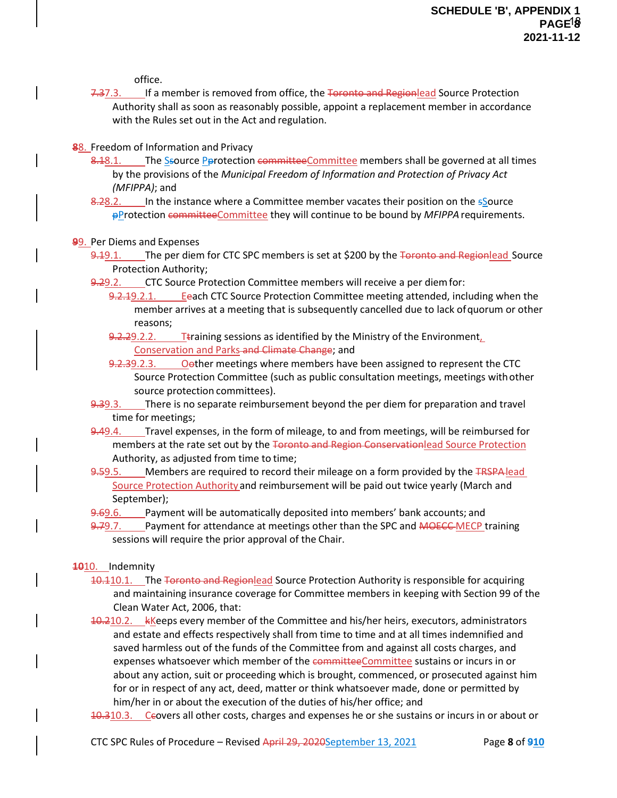office.

- 7.37.3. If a member is removed from office, the Toronto and Regionlead Source Protection Authority shall as soon as reasonably possible, appoint a replacement member in accordance with the Rules set out in the Act and regulation.
- **8**8. Freedom of Information and Privacy
	- 8.18.1. The Ssource Perotection committeeCommittee members shall be governed at all times by the provisions of the *Municipal Freedom of Information and Protection of Privacy Act (MFIPPA)*; and
	- 8.28.2. In the instance where a Committee member vacates their position on the sSource pProtection committeeCommittee they will continue to be bound by *MFIPPA*requirements.

#### **9**9. Per Diems and Expenses

- 9.19.1. The per diem for CTC SPC members is set at \$200 by the Toronto and Regionlead Source Protection Authority;
- 9.29.2. CTC Source Protection Committee members will receive a per diem for:
	- 9.2.19.2.1. Eeach CTC Source Protection Committee meeting attended, including when the member arrives at a meeting that is subsequently cancelled due to lack ofquorum or other reasons;
	- 9.2.29.2.2. Ttraining sessions as identified by the Ministry of the Environment Conservation and Parks and Climate Change; and
	- 9.2.39.2.3. Oether meetings where members have been assigned to represent the CTC Source Protection Committee (such as public consultation meetings, meetings withother source protection committees).
- 9.39.3. There is no separate reimbursement beyond the per diem for preparation and travel time for meetings;
- 9.49.4. Travel expenses, in the form of mileage, to and from meetings, will be reimbursed for members at the rate set out by the Toronto and Region Conservationlead Source Protection Authority, as adjusted from time to time;
- 9.59.5. Members are required to record their mileage on a form provided by the TRSPA lead Source Protection Authorityand reimbursement will be paid out twice yearly (March and September);
- 9.69.6. Payment will be automatically deposited into members' bank accounts; and
- 9.79.7. Payment for attendance at meetings other than the SPC and **MOECC MECP** training sessions will require the prior approval of the Chair.

#### **1010.** Indemnity

- 10.110.1. The Toronto and Regionlead Source Protection Authority is responsible for acquiring and maintaining insurance coverage for Committee members in keeping with Section 99 of the Clean Water Act, 2006, that:
- 10.210.2. kKeeps every member of the Committee and his/her heirs, executors, administrators and estate and effects respectively shall from time to time and at all times indemnified and saved harmless out of the funds of the Committee from and against all costs charges, and expenses whatsoever which member of the committeeCommittee sustains or incurs in or about any action, suit or proceeding which is brought, commenced, or prosecuted against him for or in respect of any act, deed, matter or think whatsoever made, done or permitted by him/her in or about the execution of the duties of his/her office; and
- 10.310.3. Ceovers all other costs, charges and expenses he or she sustains or incurs in or about or

CTC SPC Rules of Procedure – Revised April 29, 2020September 13, 2021 Page **8** of **910**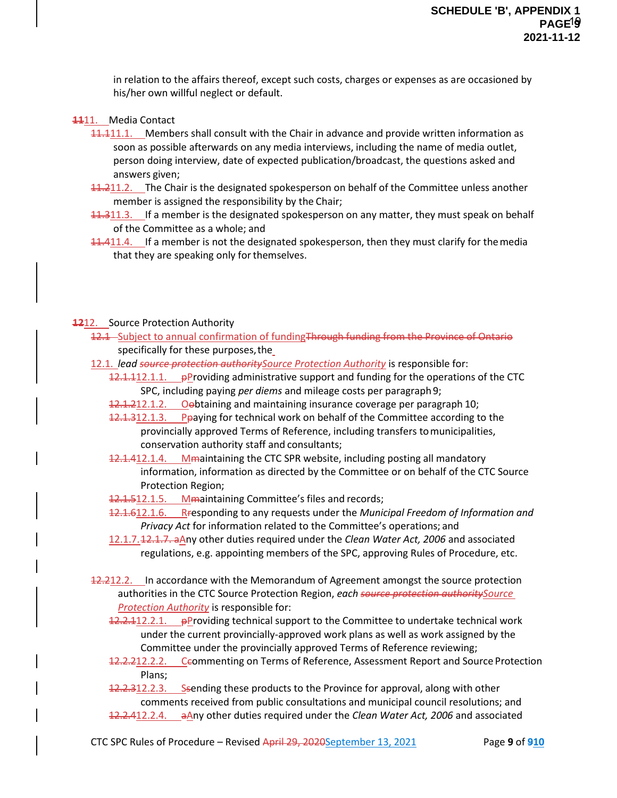in relation to the affairs thereof, except such costs, charges or expenses as are occasioned by his/her own willful neglect or default.

- **11**11. Media Contact
	- 11.111.1. Members shall consult with the Chair in advance and provide written information as soon as possible afterwards on any media interviews, including the name of media outlet, person doing interview, date of expected publication/broadcast, the questions asked and answers given;
	- 11.211.2. The Chair is the designated spokesperson on behalf of the Committee unless another member is assigned the responsibility by the Chair;
	- 11.311.3. If a member is the designated spokesperson on any matter, they must speak on behalf of the Committee as a whole; and
	- **11.411.4.** If a member is not the designated spokesperson, then they must clarify for the media that they are speaking only for themselves.

#### **12**12. Source Protection Authority

- 12.1 Subject to annual confirmation of fundingThrough funding from the Province of Ontario specifically for these purposes, the
- 12.1. *lead source protection authoritySource Protection Authority* is responsible for:
	- $12.1.112.1.1.$  pProviding administrative support and funding for the operations of the CTC SPC, including paying *per diems* and mileage costs per paragraph9;
		- 12.1.212.1.2. Oebtaining and maintaining insurance coverage per paragraph 10;
		- 12.1.312.1.3. Peaying for technical work on behalf of the Committee according to the provincially approved Terms of Reference, including transfers tomunicipalities, conservation authority staff and consultants;
		- 12.1.412.1.4. Mmaintaining the CTC SPR website, including posting all mandatory information, information as directed by the Committee or on behalf of the CTC Source Protection Region;
		- 12.1.512.1.5. Mmaintaining Committee's files and records;
		- 12.1.612.1.6. Rresponding to any requests under the *Municipal Freedom of Information and Privacy Act* for information related to the Committee's operations; and
		- 12.1.7.12.1.7. aAny other duties required under the *Clean Water Act, 2006* and associated regulations, e.g. appointing members of the SPC, approving Rules of Procedure, etc.
- 12.212.2. In accordance with the Memorandum of Agreement amongst the source protection authorities in the CTC Source Protection Region, *each source protection authoritySource Protection Authority* is responsible for:
	- 12.2.112.2.1. pProviding technical support to the Committee to undertake technical work under the current provincially-approved work plans as well as work assigned by the Committee under the provincially approved Terms of Reference reviewing;
	- 12.2.212.2.2. Ceommenting on Terms of Reference, Assessment Report and Source Protection Plans;
	- 12.2.312.2.3. Ssending these products to the Province for approval, along with other comments received from public consultations and municipal council resolutions; and 12.2.412.2.4. aAny other duties required under the *Clean Water Act, 2006* and associated

CTC SPC Rules of Procedure – Revised April 29, 2020September 13, 2021 Page **9** of **910**